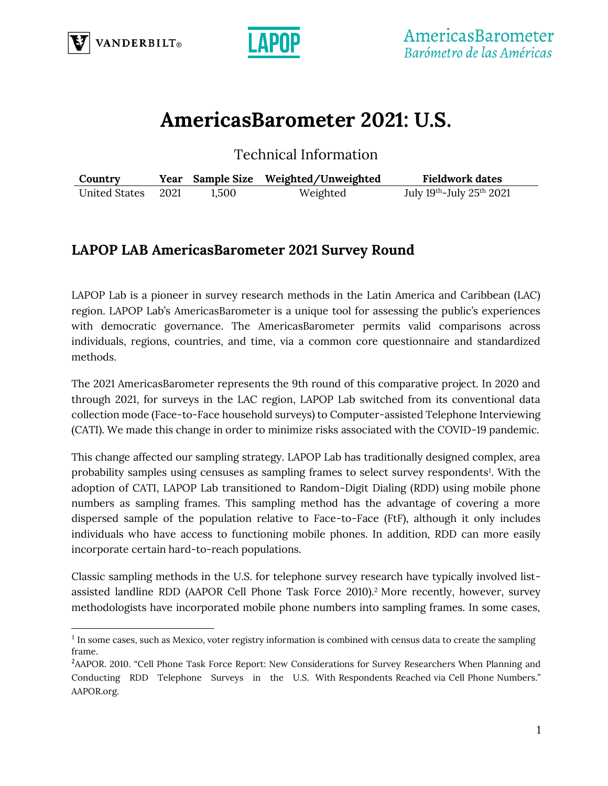



# **AmericasBarometer 2021: U.S.**

Technical Information

| Country            |       | Year Sample Size Weighted/Unweighted | <b>Fieldwork dates</b>   |
|--------------------|-------|--------------------------------------|--------------------------|
| United States 2021 | 1,500 | Weighted                             | July 19th-July 25th 2021 |

## **LAPOP LAB AmericasBarometer 2021 Survey Round**

LAPOP Lab is a pioneer in survey research methods in the Latin America and Caribbean (LAC) region. LAPOP Lab's AmericasBarometer is a unique tool for assessing the public's experiences with democratic governance. The AmericasBarometer permits valid comparisons across individuals, regions, countries, and time, via a common core questionnaire and standardized methods.

The 2021 AmericasBarometer represents the 9th round of this comparative project. In 2020 and through 2021, for surveys in the LAC region, LAPOP Lab switched from its conventional data collection mode (Face-to-Face household surveys) to Computer-assisted Telephone Interviewing (CATI). We made this change in order to minimize risks associated with the COVID-19 pandemic.

This change affected our sampling strategy. LAPOP Lab has traditionally designed complex, area probability samples using censuses as sampling frames to select survey respondents<sup>1</sup>. With the adoption of CATI, LAPOP Lab transitioned to Random-Digit Dialing (RDD) using mobile phone numbers as sampling frames. This sampling method has the advantage of covering a more dispersed sample of the population relative to Face-to-Face (FtF), although it only includes individuals who have access to functioning mobile phones. In addition, RDD can more easily incorporate certain hard-to-reach populations.

Classic sampling methods in the U.S. for telephone survey research have typically involved listassisted landline RDD (AAPOR Cell Phone Task Force 2010).<sup>2</sup> More recently, however, survey methodologists have incorporated mobile phone numbers into sampling frames. In some cases,

<sup>&</sup>lt;sup>1</sup> In some cases, such as Mexico, voter registry information is combined with census data to create the sampling frame.

<sup>&</sup>lt;sup>2</sup>AAPOR. 2010. "Cell Phone Task Force Report: New Considerations for Survey Researchers When Planning and Conducting RDD Telephone Surveys in the U.S. With Respondents Reached via Cell Phone Numbers." AAPOR.org.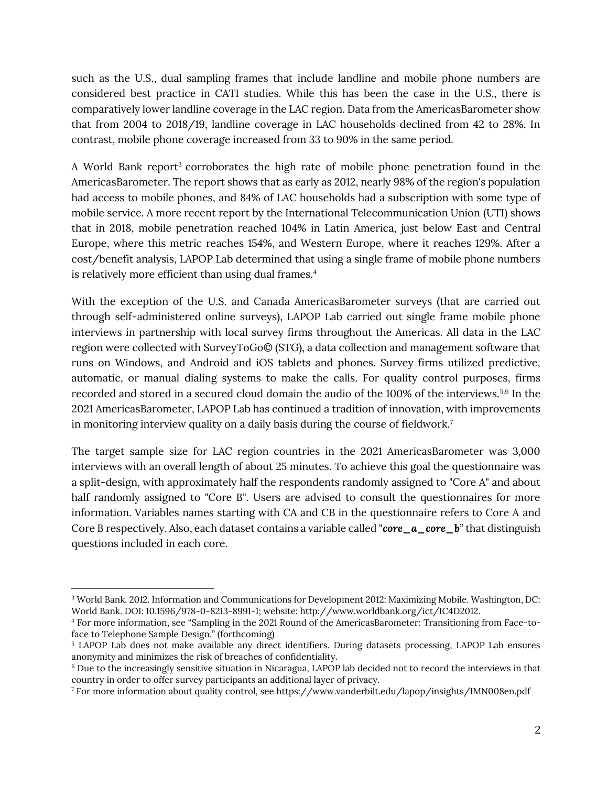such as the U.S., dual sampling frames that include landline and mobile phone numbers are considered best practice in CATI studies. While this has been the case in the U.S., there is comparatively lower landline coverage in the LAC region. Data from the AmericasBarometer show that from 2004 to 2018/19, landline coverage in LAC households declined from 42 to 28%. In contrast, mobile phone coverage increased from 33 to 90% in the same period.

A World Bank report<sup>3</sup> corroborates the high rate of mobile phone penetration found in the AmericasBarometer. The report shows that as early as 2012, nearly 98% of the region's population had access to mobile phones, and 84% of LAC households had a subscription with some type of mobile service. A more recent report by the International Telecommunication Union (UTI) shows that in 2018, mobile penetration reached 104% in Latin America, just below East and Central Europe, where this metric reaches 154%, and Western Europe, where it reaches 129%. After a cost/benefit analysis, LAPOP Lab determined that using a single frame of mobile phone numbers is relatively more efficient than using dual frames.<sup>4</sup>

With the exception of the U.S. and Canada AmericasBarometer surveys (that are carried out through self-administered online surveys), LAPOP Lab carried out single frame mobile phone interviews in partnership with local survey firms throughout the Americas. All data in the LAC region were collected with SurveyToGo© (STG), a data collection and management software that runs on Windows, and Android and iOS tablets and phones. Survey firms utilized predictive, automatic, or manual dialing systems to make the calls. For quality control purposes, firms recorded and stored in a secured cloud domain the audio of the 100% of the interviews.5,6 In the 2021 AmericasBarometer, LAPOP Lab has continued a tradition of innovation, with improvements in monitoring interview quality on a daily basis during the course of fieldwork.<sup>7</sup>

The target sample size for LAC region countries in the 2021 AmericasBarometer was 3,000 interviews with an overall length of about 25 minutes. To achieve this goal the questionnaire was a split-design, with approximately half the respondents randomly assigned to "Core A" and about half randomly assigned to "Core B". Users are advised to consult the questionnaires for more information. Variables names starting with CA and CB in the questionnaire refers to Core A and Core B respectively. Also, each dataset contains a variable called "*core\_a\_core\_b*" that distinguish questions included in each core.

<sup>3</sup> World Bank. 2012. Information and Communications for Development 2012: Maximizing Mobile. Washington, DC: World Bank. DOI: 10.1596/978-0-8213-8991-1; website: http://www.worldbank.org/ict/IC4D2012.

<sup>4</sup> For more information, see "Sampling in the 2021 Round of the AmericasBarometer: Transitioning from Face-toface to Telephone Sample Design." (forthcoming)

<sup>5</sup> LAPOP Lab does not make available any direct identifiers. During datasets processing, LAPOP Lab ensures anonymity and minimizes the risk of breaches of confidentiality.

<sup>6</sup> Due to the increasingly sensitive situation in Nicaragua, LAPOP lab decided not to record the interviews in that country in order to offer survey participants an additional layer of privacy.

<sup>7</sup> For more information about quality control, see https://www.vanderbilt.edu/lapop/insights/IMN008en.pdf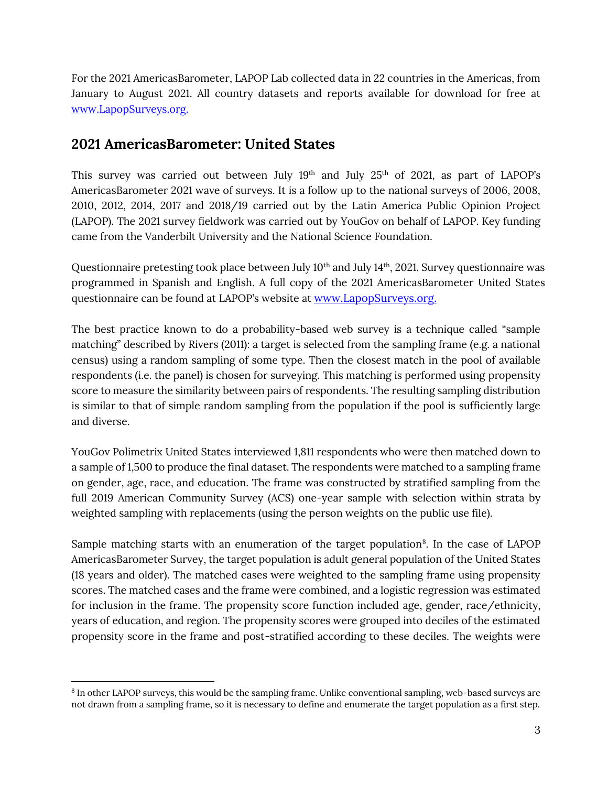For the 2021 AmericasBarometer, LAPOP Lab collected data in 22 countries in the Americas, from January to August 2021. All country datasets and reports available for download for free at [www.LapopSurveys.org.](http://www.lapopsurveys.org/)

#### **2021 AmericasBarometer: United States**

This survey was carried out between July  $19<sup>th</sup>$  and July  $25<sup>th</sup>$  of 2021, as part of LAPOP's AmericasBarometer 2021 wave of surveys. It is a follow up to the national surveys of 2006, 2008, 2010, 2012, 2014, 2017 and 2018/19 carried out by the Latin America Public Opinion Project (LAPOP). The 2021 survey fieldwork was carried out by YouGov on behalf of LAPOP. Key funding came from the Vanderbilt University and the National Science Foundation.

Questionnaire pretesting took place between July 10<sup>th</sup> and July 14<sup>th</sup>, 2021. Survey questionnaire was programmed in Spanish and English. A full copy of the 2021 AmericasBarometer United States questionnaire can be found at LAPOP's website at [www.LapopSurveys.org.](http://www.lapopsurveys.org/)

The best practice known to do a probability-based web survey is a technique called "sample matching" described by Rivers (2011): a target is selected from the sampling frame (e.g. a national census) using a random sampling of some type. Then the closest match in the pool of available respondents (i.e. the panel) is chosen for surveying. This matching is performed using propensity score to measure the similarity between pairs of respondents. The resulting sampling distribution is similar to that of simple random sampling from the population if the pool is sufficiently large and diverse.

YouGov Polimetrix United States interviewed 1,811 respondents who were then matched down to a sample of 1,500 to produce the final dataset. The respondents were matched to a sampling frame on gender, age, race, and education. The frame was constructed by stratified sampling from the full 2019 American Community Survey (ACS) one-year sample with selection within strata by weighted sampling with replacements (using the person weights on the public use file).

Sample matching starts with an enumeration of the target population<sup>8</sup>. In the case of LAPOP AmericasBarometer Survey, the target population is adult general population of the United States (18 years and older). The matched cases were weighted to the sampling frame using propensity scores. The matched cases and the frame were combined, and a logistic regression was estimated for inclusion in the frame. The propensity score function included age, gender, race/ethnicity, years of education, and region. The propensity scores were grouped into deciles of the estimated propensity score in the frame and post-stratified according to these deciles. The weights were

<sup>&</sup>lt;sup>8</sup> In other LAPOP surveys, this would be the sampling frame. Unlike conventional sampling, web-based surveys are not drawn from a sampling frame, so it is necessary to define and enumerate the target population as a first step.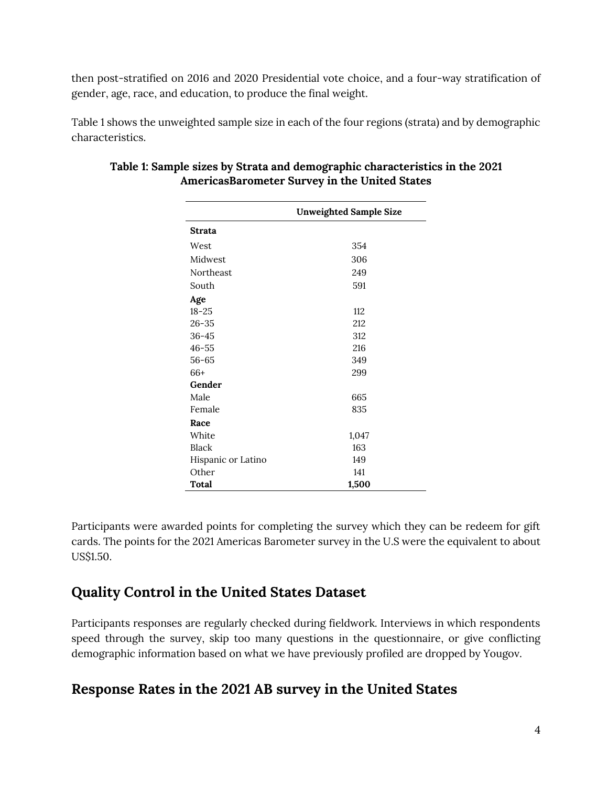then post-stratified on 2016 and 2020 Presidential vote choice, and a four-way stratification of gender, age, race, and education, to produce the final weight.

Table 1 shows the unweighted sample size in each of the four regions (strata) and by demographic characteristics.

|                    | <b>Unweighted Sample Size</b> |
|--------------------|-------------------------------|
| <b>Strata</b>      |                               |
| West               | 354                           |
| Midwest            | 306                           |
| Northeast          | 249                           |
| South              | 591                           |
| Age                |                               |
| $18 - 25$          | 112                           |
| $26 - 35$          | 212                           |
| $36 - 45$          | 312                           |
| $46 - 55$          | 216                           |
| $56 - 65$          | 349                           |
| $66+$              | 299                           |
| Gender             |                               |
| Male               | 665                           |
| Female             | 835                           |
| Race               |                               |
| White              | 1,047                         |
| Black              | 163                           |
| Hispanic or Latino | 149                           |
| Other              | 141                           |
| Total              | 1,500                         |

#### **Table 1: Sample sizes by Strata and demographic characteristics in the 2021 AmericasBarometer Survey in the United States**

Participants were awarded points for completing the survey which they can be redeem for gift cards. The points for the 2021 Americas Barometer survey in the U.S were the equivalent to about US\$1.50.

#### **Quality Control in the United States Dataset**

Participants responses are regularly checked during fieldwork. Interviews in which respondents speed through the survey, skip too many questions in the questionnaire, or give conflicting demographic information based on what we have previously profiled are dropped by Yougov.

#### **Response Rates in the 2021 AB survey in the United States**